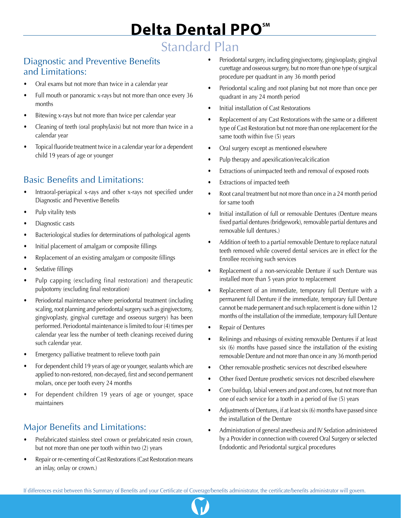# Standard Plan

#### Diagnostic and Preventive Benefits and Limitations:

- Oral exams but not more than twice in a calendar year
- Full mouth or panoramic x-rays but not more than once every 36 months
- Bitewing x-rays but not more than twice per calendar year
- Cleaning of teeth (oral prophylaxis) but not more than twice in a calendar year
- Topical fluoride treatment twice in a calendar year for a dependent child 19 years of age or younger

### Basic Benefits and Limitations:

- Intraoral-periapical x-rays and other x-rays not specified under Diagnostic and Preventive Benefits
- Pulp vitality tests
- Diagnostic casts
- Bacteriological studies for determinations of pathological agents
- Initial placement of amalgam or composite fillings
- Replacement of an existing amalgam or composite fillings
- Sedative fillings
- Pulp capping (excluding final restoration) and therapeutic pulpotomy (excluding final restoration)
- Periodontal maintenance where periodontal treatment (including scaling, root planning and periodontal surgery such as gingivectomy, gingivoplasty, gingival curettage and osseous surgery) has been performed. Periodontal maintenance is limited to four (4) times per calendar year less the number of teeth cleanings received during such calendar year.
- Emergency palliative treatment to relieve tooth pain
- For dependent child 19 years of age or younger, sealants which are applied to non-restored, non-decayed, first and second permanent molars, once per tooth every 24 months
- For dependent children 19 years of age or younger, space maintainers

## Major Benefits and Limitations:

- Prefabricated stainless steel crown or prefabricated resin crown, but not more than one per tooth within two (2) years
- Repair or re-cementing of Cast Restorations (Cast Restoration means an inlay, onlay or crown.)
- Periodontal surgery, including gingivectomy, gingivoplasty, gingival curettage and osseous surgery, but no more than one type of surgical procedure per quadrant in any 36 month period
- Periodontal scaling and root planing but not more than once per quadrant in any 24 month period
- Initial installation of Cast Restorations
- Replacement of any Cast Restorations with the same or a different type of Cast Restoration but not more than one replacement for the same tooth within five (5) years
- Oral surgery except as mentioned elsewhere
- Pulp therapy and apexification/recalcification
- Extractions of unimpacted teeth and removal of exposed roots
- Extractions of impacted teeth
- Root canal treatment but not more than once in a 24 month period for same tooth
- Initial installation of full or removable Dentures (Denture means fixed partial dentures (bridgework), removable partial dentures and removable full dentures.)
- Addition of teeth to a partial removable Denture to replace natural teeth removed while covered dental services are in effect for the Enrollee receiving such services
- Replacement of a non-serviceable Denture if such Denture was installed more than 5 years prior to replacement
- Replacement of an immediate, temporary full Denture with a permanent full Denture if the immediate, temporary full Denture cannot be made permanent and such replacement is done within 12 months of the installation of the immediate, temporary full Denture
- Repair of Dentures
- Relinings and rebasings of existing removable Dentures if at least six (6) months have passed since the installation of the existing removable Denture and not more than once in any 36 month period
- Other removable prosthetic services not described elsewhere
- Other fixed Denture prosthetic services not described elsewhere
- Core buildup, labial veneers and post and cores, but not more than one of each service for a tooth in a period of five (5) years
- Adjustments of Dentures, if at least six (6) months have passed since the installation of the Denture
- Administration of general anesthesia and IV Sedation administered by a Provider in connection with covered Oral Surgery or selected Endodontic and Periodontal surgical procedures